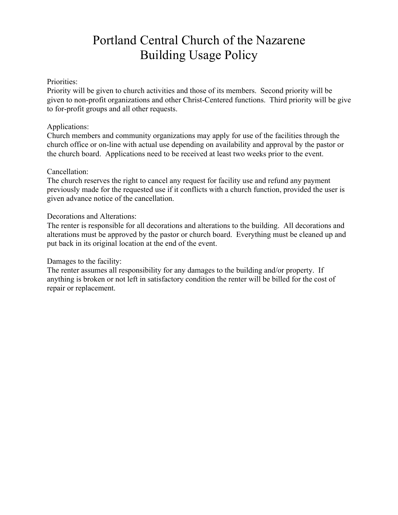# Portland Central Church of the Nazarene Building Usage Policy

### Priorities:

Priority will be given to church activities and those of its members. Second priority will be given to non-profit organizations and other Christ-Centered functions. Third priority will be give to for-profit groups and all other requests.

### Applications:

Church members and community organizations may apply for use of the facilities through the church office or on-line with actual use depending on availability and approval by the pastor or the church board. Applications need to be received at least two weeks prior to the event.

#### Cancellation:

The church reserves the right to cancel any request for facility use and refund any payment previously made for the requested use if it conflicts with a church function, provided the user is given advance notice of the cancellation.

### Decorations and Alterations:

The renter is responsible for all decorations and alterations to the building. All decorations and alterations must be approved by the pastor or church board. Everything must be cleaned up and put back in its original location at the end of the event.

### Damages to the facility:

The renter assumes all responsibility for any damages to the building and/or property. If anything is broken or not left in satisfactory condition the renter will be billed for the cost of repair or replacement.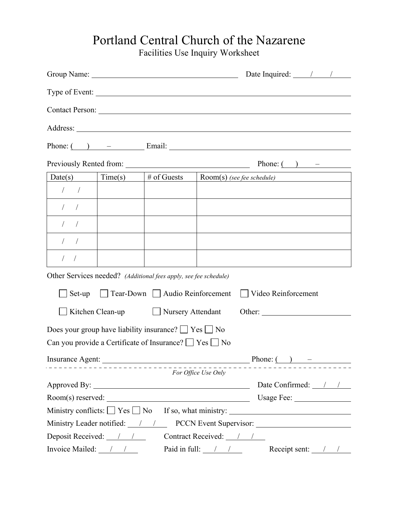## Portland Central Church of the Nazarene

Facilities Use Inquiry Worksheet

|                                                                                                                                                                                                                                                                                                                                                                                                   |         |                                                                  | Date Inquired: $\frac{\sqrt{2}}{2}$                                                             |
|---------------------------------------------------------------------------------------------------------------------------------------------------------------------------------------------------------------------------------------------------------------------------------------------------------------------------------------------------------------------------------------------------|---------|------------------------------------------------------------------|-------------------------------------------------------------------------------------------------|
|                                                                                                                                                                                                                                                                                                                                                                                                   |         |                                                                  | Type of Event:                                                                                  |
|                                                                                                                                                                                                                                                                                                                                                                                                   |         |                                                                  | Contact Person: Lawrence Contact Person:                                                        |
|                                                                                                                                                                                                                                                                                                                                                                                                   |         |                                                                  | Address:                                                                                        |
|                                                                                                                                                                                                                                                                                                                                                                                                   |         |                                                                  | Phone: $\begin{pmatrix} 0 & - & \end{pmatrix}$ Email:                                           |
|                                                                                                                                                                                                                                                                                                                                                                                                   |         |                                                                  | Previously Rented from: $\qquad \qquad$ Phone: $\qquad \qquad$                                  |
| Date(s)                                                                                                                                                                                                                                                                                                                                                                                           | Time(s) | # of Guests                                                      | Room(s) (see <u>fee schedule)</u>                                                               |
| $\frac{1}{2}$                                                                                                                                                                                                                                                                                                                                                                                     |         |                                                                  |                                                                                                 |
| $\frac{1}{2}$                                                                                                                                                                                                                                                                                                                                                                                     |         |                                                                  |                                                                                                 |
| 1/                                                                                                                                                                                                                                                                                                                                                                                                |         |                                                                  |                                                                                                 |
| $\frac{1}{2}$                                                                                                                                                                                                                                                                                                                                                                                     |         |                                                                  |                                                                                                 |
| $\frac{1}{2}$                                                                                                                                                                                                                                                                                                                                                                                     |         |                                                                  | the contract of the contract of the contract of the contract of the contract of the contract of |
|                                                                                                                                                                                                                                                                                                                                                                                                   |         | Other Services needed? (Additional fees apply, see fee schedule) |                                                                                                 |
| $\Box$ Set-up                                                                                                                                                                                                                                                                                                                                                                                     |         |                                                                  | Tear-Down Audio Reinforcement Video Reinforcement                                               |
|                                                                                                                                                                                                                                                                                                                                                                                                   |         | Kitchen Clean-up Nursery Attendant                               | Other:                                                                                          |
|                                                                                                                                                                                                                                                                                                                                                                                                   |         | Does your group have liability insurance? $\Box$ Yes $\Box$ No   |                                                                                                 |
|                                                                                                                                                                                                                                                                                                                                                                                                   |         | Can you provide a Certificate of Insurance? $\Box$ Yes $\Box$ No |                                                                                                 |
| Insurance Agent:                                                                                                                                                                                                                                                                                                                                                                                  |         |                                                                  | Phone: $($ ) –                                                                                  |
|                                                                                                                                                                                                                                                                                                                                                                                                   |         |                                                                  | For Office Use Only                                                                             |
|                                                                                                                                                                                                                                                                                                                                                                                                   |         |                                                                  | Date Confirmed: //                                                                              |
|                                                                                                                                                                                                                                                                                                                                                                                                   |         |                                                                  |                                                                                                 |
| Ministry conflicts: $\Box$ Yes $\Box$ No                                                                                                                                                                                                                                                                                                                                                          |         |                                                                  |                                                                                                 |
| Ministry Leader notified: $\frac{1}{1-\frac{1}{1-\frac{1}{1-\frac{1}{1-\frac{1}{1-\frac{1}{1-\frac{1}{1-\frac{1}{1-\frac{1}{1-\frac{1}{1-\frac{1}{1-\frac{1}{1-\frac{1}{1-\frac{1}{1-\frac{1}{1-\frac{1}{1-\frac{1}{1-\frac{1}{1-\frac{1}{1-\frac{1}{1-\frac{1}{1-\frac{1}{1-\frac{1}{1-\frac{1}{1-\frac{1}{1-\frac{1}{1-\frac{1}{1-\frac{1}{1-\frac{1}{1-\frac{1}{1-\frac{1}{1-\frac{1}{1-\frac$ |         |                                                                  | PCCN Event Supervisor:                                                                          |
| Deposit Received: $\frac{1}{1}$                                                                                                                                                                                                                                                                                                                                                                   |         |                                                                  | Contract Received: / /                                                                          |
| Invoice Mailed: $\frac{1}{1}$                                                                                                                                                                                                                                                                                                                                                                     |         |                                                                  | Paid in full: $\frac{1}{\sqrt{2}}$<br>Receipt sent: $\frac{1}{1}$                               |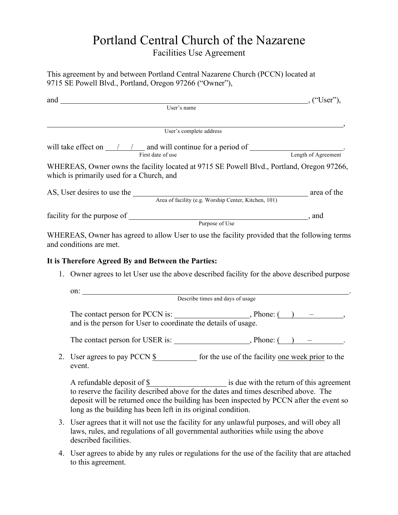# Portland Central Church of the Nazarene

Facilities Use Agreement

This agreement by and between Portland Central Nazarene Church (PCCN) located at 9715 SE Powell Blvd., Portland, Oregon 97266 ("Owner"),

| $and$ ("User"),                                                                                                                                                                                                                                                                                                                                                                                                                     |  |
|-------------------------------------------------------------------------------------------------------------------------------------------------------------------------------------------------------------------------------------------------------------------------------------------------------------------------------------------------------------------------------------------------------------------------------------|--|
| User's name                                                                                                                                                                                                                                                                                                                                                                                                                         |  |
| User's complete address                                                                                                                                                                                                                                                                                                                                                                                                             |  |
| will take effect on $\frac{1}{\frac{1}{2} \cdot \frac{1}{2} \cdot \frac{1}{2} \cdot \frac{1}{2} \cdot \frac{1}{2} \cdot \frac{1}{2} \cdot \frac{1}{2} \cdot \frac{1}{2} \cdot \frac{1}{2} \cdot \frac{1}{2} \cdot \frac{1}{2} \cdot \frac{1}{2} \cdot \frac{1}{2} \cdot \frac{1}{2} \cdot \frac{1}{2} \cdot \frac{1}{2} \cdot \frac{1}{2} \cdot \frac{1}{2} \cdot \frac{1}{2} \cdot \frac{1}{2} \cdot \frac{1}{2} \cdot \frac{1}{2$ |  |
| WHEREAS, Owner owns the facility located at 9715 SE Powell Blvd., Portland, Oregon 97266,<br>which is primarily used for a Church, and                                                                                                                                                                                                                                                                                              |  |
| AS, User desires to use the <u>Area of facility</u> (e.g. Worship Center, Kitchen, 101) area of the                                                                                                                                                                                                                                                                                                                                 |  |
|                                                                                                                                                                                                                                                                                                                                                                                                                                     |  |
| WHEREAS, Owner has agreed to allow User to use the facility provided that the following terms<br>and conditions are met.<br>It is Therefore Agreed By and Between the Parties:<br>1. Owner agrees to let User use the above described facility for the above described purpose                                                                                                                                                      |  |
| ON: Describe times and days of usage                                                                                                                                                                                                                                                                                                                                                                                                |  |
|                                                                                                                                                                                                                                                                                                                                                                                                                                     |  |
| and is the person for User to coordinate the details of usage.                                                                                                                                                                                                                                                                                                                                                                      |  |
|                                                                                                                                                                                                                                                                                                                                                                                                                                     |  |
| 2. User agrees to pay PCCN \$ for the use of the facility one week prior to the<br>event.                                                                                                                                                                                                                                                                                                                                           |  |
| is due with the return of this agreement<br>A refundable deposit of \$<br>to reserve the facility described above for the dates and times described above. The<br>deposit will be returned once the building has been inspected by PCCN after the event so<br>long as the building has been left in its original condition.                                                                                                         |  |
| 3. User agrees that it will not use the facility for any unlawful purposes, and will obey all<br>laws, rules, and regulations of all governmental authorities while using the above                                                                                                                                                                                                                                                 |  |

4. User agrees to abide by any rules or regulations for the use of the facility that are attached to this agreement.

described facilities.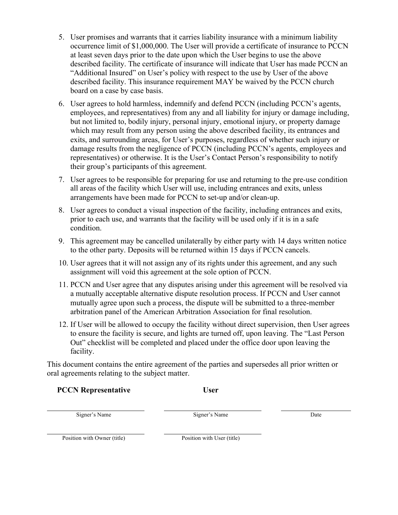- 5. User promises and warrants that it carries liability insurance with a minimum liability occurrence limit of \$1,000,000. The User will provide a certificate of insurance to PCCN at least seven days prior to the date upon which the User begins to use the above described facility. The certificate of insurance will indicate that User has made PCCN an "Additional Insured" on User's policy with respect to the use by User of the above described facility. This insurance requirement MAY be waived by the PCCN church board on a case by case basis.
- 6. User agrees to hold harmless, indemnify and defend PCCN (including PCCN's agents, employees, and representatives) from any and all liability for injury or damage including, but not limited to, bodily injury, personal injury, emotional injury, or property damage which may result from any person using the above described facility, its entrances and exits, and surrounding areas, for User's purposes, regardless of whether such injury or damage results from the negligence of PCCN (including PCCN's agents, employees and representatives) or otherwise. It is the User's Contact Person's responsibility to notify their group's participants of this agreement.
- 7. User agrees to be responsible for preparing for use and returning to the pre-use condition all areas of the facility which User will use, including entrances and exits, unless arrangements have been made for PCCN to set-up and/or clean-up.
- 8. User agrees to conduct a visual inspection of the facility, including entrances and exits, prior to each use, and warrants that the facility will be used only if it is in a safe condition.
- 9. This agreement may be cancelled unilaterally by either party with 14 days written notice to the other party. Deposits will be returned within 15 days if PCCN cancels.
- 10. User agrees that it will not assign any of its rights under this agreement, and any such assignment will void this agreement at the sole option of PCCN.
- 11. PCCN and User agree that any disputes arising under this agreement will be resolved via a mutually acceptable alternative dispute resolution process. If PCCN and User cannot mutually agree upon such a process, the dispute will be submitted to a three-member arbitration panel of the American Arbitration Association for final resolution.
- 12. If User will be allowed to occupy the facility without direct supervision, then User agrees to ensure the facility is secure, and lights are turned off, upon leaving. The "Last Person Out" checklist will be completed and placed under the office door upon leaving the facility.

This document contains the entire agreement of the parties and supersedes all prior written or oral agreements relating to the subject matter.

### **PCCN Representative User**

Signer's Name Date Signer's Name Date

Position with Owner (title) Position with User (title)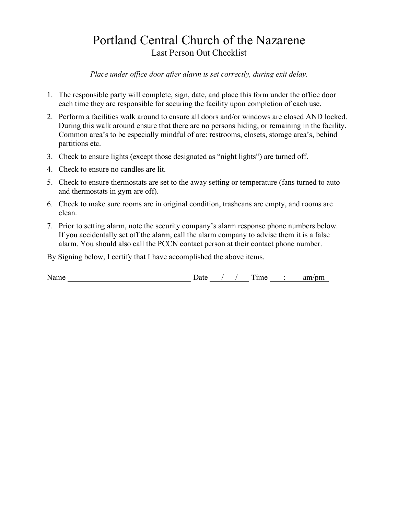### Portland Central Church of the Nazarene Last Person Out Checklist

*Place under office door after alarm is set correctly, during exit delay.*

- 1. The responsible party will complete, sign, date, and place this form under the office door each time they are responsible for securing the facility upon completion of each use.
- 2. Perform a facilities walk around to ensure all doors and/or windows are closed AND locked. During this walk around ensure that there are no persons hiding, or remaining in the facility. Common area's to be especially mindful of are: restrooms, closets, storage area's, behind partitions etc.
- 3. Check to ensure lights (except those designated as "night lights") are turned off.
- 4. Check to ensure no candles are lit.
- 5. Check to ensure thermostats are set to the away setting or temperature (fans turned to auto and thermostats in gym are off).
- 6. Check to make sure rooms are in original condition, trashcans are empty, and rooms are clean.
- 7. Prior to setting alarm, note the security company's alarm response phone numbers below. If you accidentally set off the alarm, call the alarm company to advise them it is a false alarm. You should also call the PCCN contact person at their contact phone number.

By Signing below, I certify that I have accomplished the above items.

Name Date / / Time : am/pm